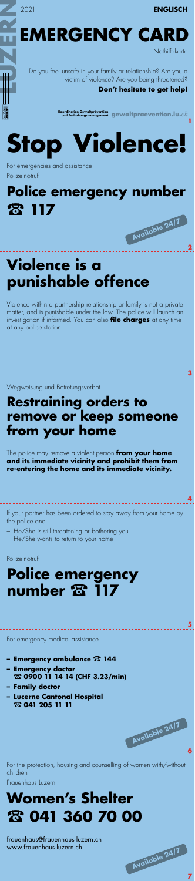

www.frauenhaus-luzern.ch

**Available 24/7 7**